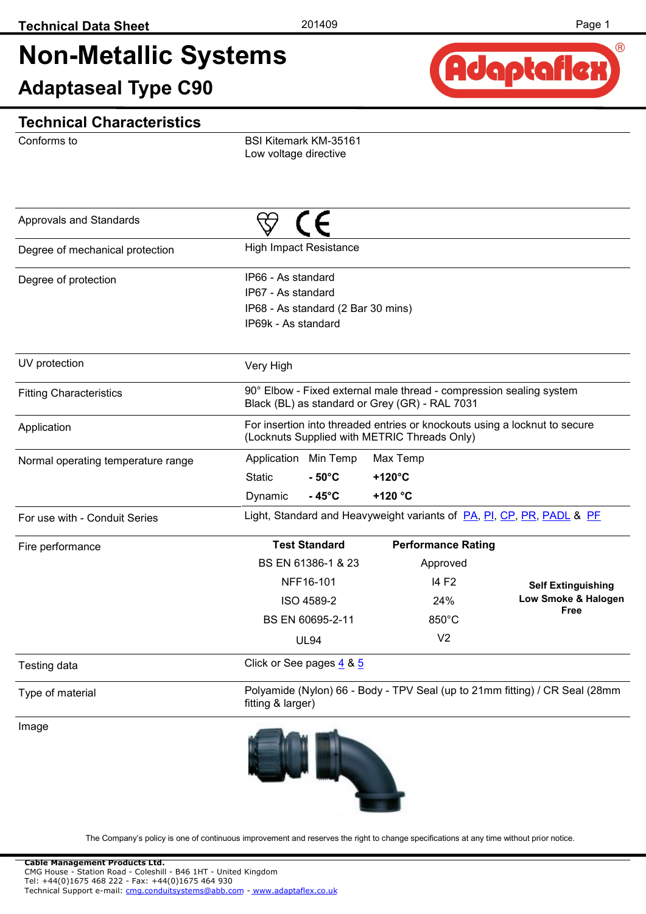# **Non-Metallic Systems**

**Adaptaseal Type C90**



#### **Technical Characteristics**

Conforms to

BSI Kitemark KM-35161 Low voltage directive

| Approvals and Standards            |                                                                                                       |                                                                                                                            |                             |
|------------------------------------|-------------------------------------------------------------------------------------------------------|----------------------------------------------------------------------------------------------------------------------------|-----------------------------|
| Degree of mechanical protection    | <b>High Impact Resistance</b>                                                                         |                                                                                                                            |                             |
| Degree of protection               | IP66 - As standard<br>IP67 - As standard<br>IP68 - As standard (2 Bar 30 mins)<br>IP69k - As standard |                                                                                                                            |                             |
| UV protection                      | Very High                                                                                             |                                                                                                                            |                             |
| <b>Fitting Characteristics</b>     |                                                                                                       | 90° Elbow - Fixed external male thread - compression sealing system<br>Black (BL) as standard or Grey (GR) - RAL 7031      |                             |
| Application                        |                                                                                                       | For insertion into threaded entries or knockouts using a locknut to secure<br>(Locknuts Supplied with METRIC Threads Only) |                             |
| Normal operating temperature range | Application Min Temp                                                                                  | Max Temp                                                                                                                   |                             |
|                                    | $-50^{\circ}$ C<br><b>Static</b>                                                                      | $+120^{\circ}$ C                                                                                                           |                             |
|                                    | $-45^{\circ}$ C<br>Dynamic                                                                            | +120 °C                                                                                                                    |                             |
| For use with - Conduit Series      |                                                                                                       | Light, Standard and Heavyweight variants of <b>PA, PI, CP, PR, PADL &amp; PF</b>                                           |                             |
| Fire performance                   | <b>Test Standard</b>                                                                                  | <b>Performance Rating</b>                                                                                                  |                             |
|                                    | BS EN 61386-1 & 23                                                                                    | Approved                                                                                                                   |                             |
|                                    | NFF16-101                                                                                             | 14 F <sub>2</sub>                                                                                                          | <b>Self Extinguishing</b>   |
|                                    | ISO 4589-2                                                                                            | 24%                                                                                                                        | Low Smoke & Halogen<br>Free |
|                                    | BS EN 60695-2-11                                                                                      | 850°C                                                                                                                      |                             |
|                                    | <b>UL94</b>                                                                                           | V <sub>2</sub>                                                                                                             |                             |
| Testing data                       | Click or See pages 4 & 5                                                                              |                                                                                                                            |                             |
| Type of material                   | fitting & larger)                                                                                     | Polyamide (Nylon) 66 - Body - TPV Seal (up to 21mm fitting) / CR Seal (28mm                                                |                             |
| Image                              |                                                                                                       |                                                                                                                            |                             |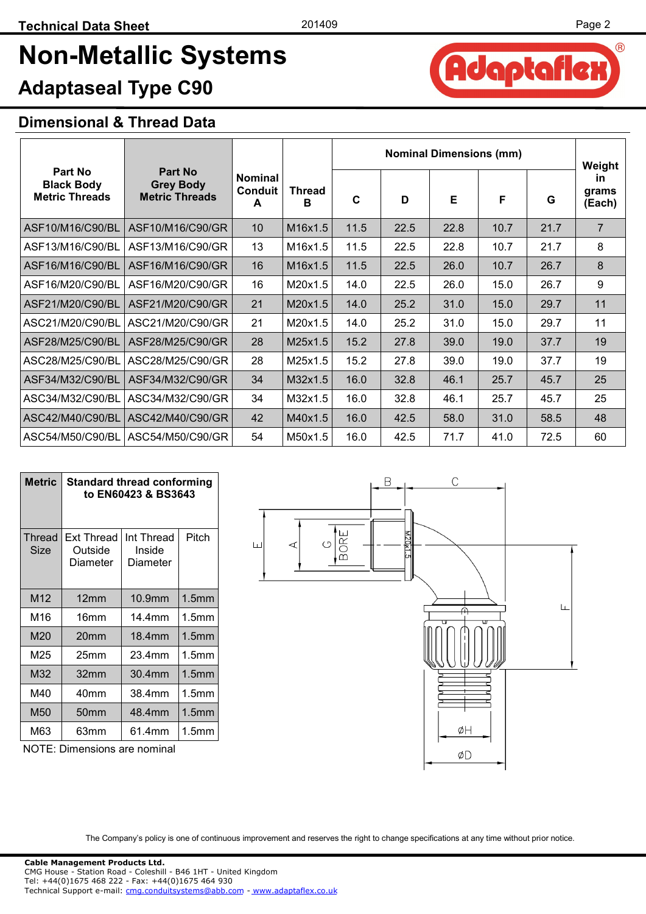Adaptafle

 $(R)$ 

## **Non-Metallic Systems**

### **Adaptaseal Type C90**

#### **Dimensional & Thread Data**

|                                                       |                                                      |                                       |                    | <b>Nominal Dimensions (mm)</b> |      |      | Weight |      |                              |
|-------------------------------------------------------|------------------------------------------------------|---------------------------------------|--------------------|--------------------------------|------|------|--------|------|------------------------------|
| Part No<br><b>Black Body</b><br><b>Metric Threads</b> | Part No<br><b>Grey Body</b><br><b>Metric Threads</b> | <b>Nominal</b><br><b>Conduit</b><br>A | <b>Thread</b><br>B | C                              | D    | E    | F      | G    | <b>in</b><br>grams<br>(Each) |
| ASF10/M16/C90/BL                                      | ASF10/M16/C90/GR                                     | 10 <sup>°</sup>                       | M16x1.5            | 11.5                           | 22.5 | 22.8 | 10.7   | 21.7 | $\overline{7}$               |
| ASF13/M16/C90/BL                                      | ASF13/M16/C90/GR                                     | 13                                    | M16x1.5            | 11.5                           | 22.5 | 22.8 | 10.7   | 21.7 | 8                            |
| ASF16/M16/C90/BL                                      | ASF16/M16/C90/GR                                     | 16                                    | M16x1.5            | 11.5                           | 22.5 | 26.0 | 10.7   | 26.7 | 8                            |
| ASF16/M20/C90/BL                                      | ASF16/M20/C90/GR                                     | 16                                    | M20x1.5            | 14.0                           | 22.5 | 26.0 | 15.0   | 26.7 | 9                            |
| ASF21/M20/C90/BL                                      | ASF21/M20/C90/GR                                     | 21                                    | M20x1.5            | 14.0                           | 25.2 | 31.0 | 15.0   | 29.7 | 11                           |
| ASC21/M20/C90/BL                                      | ASC21/M20/C90/GR                                     | 21                                    | M20x1.5            | 14.0                           | 25.2 | 31.0 | 15.0   | 29.7 | 11                           |
| ASF28/M25/C90/BL                                      | ASF28/M25/C90/GR                                     | 28                                    | M25x1.5            | 15.2                           | 27.8 | 39.0 | 19.0   | 37.7 | 19                           |
| ASC28/M25/C90/BL                                      | ASC28/M25/C90/GR                                     | 28                                    | M25x1.5            | 15.2                           | 27.8 | 39.0 | 19.0   | 37.7 | 19                           |
| ASF34/M32/C90/BL                                      | ASF34/M32/C90/GR                                     | 34                                    | M32x1.5            | 16.0                           | 32.8 | 46.1 | 25.7   | 45.7 | 25                           |
| ASC34/M32/C90/BL                                      | ASC34/M32/C90/GR                                     | 34                                    | M32x1.5            | 16.0                           | 32.8 | 46.1 | 25.7   | 45.7 | 25                           |
| ASC42/M40/C90/BL                                      | ASC42/M40/C90/GR                                     | 42                                    | M40x1.5            | 16.0                           | 42.5 | 58.0 | 31.0   | 58.5 | 48                           |
| ASC54/M50/C90/BL                                      | ASC54/M50/C90/GR                                     | 54                                    | M50x1.5            | 16.0                           | 42.5 | 71.7 | 41.0   | 72.5 | 60                           |

| <b>Metric</b>  | <b>Standard thread conforming</b><br>to EN60423 & BS3643 |                                  |                   |  |  |  |  |
|----------------|----------------------------------------------------------|----------------------------------|-------------------|--|--|--|--|
| Thread<br>Size | Ext Thread<br>Outside<br>Diameter                        | Int Thread<br>Inside<br>Diameter | Pitch             |  |  |  |  |
| M12            | 12mm                                                     | 10.9mm                           | 1.5 <sub>mm</sub> |  |  |  |  |
| M16            | 16mm                                                     | 14.4mm                           | 1.5mm             |  |  |  |  |
| M20            | 20mm                                                     | 18.4mm                           | 1.5 <sub>mm</sub> |  |  |  |  |
| M25            | 25mm                                                     | 23.4mm                           | 1.5mm             |  |  |  |  |
| M32            | 32mm                                                     | 30.4mm                           | 1.5 <sub>mm</sub> |  |  |  |  |
| M40            | 40mm                                                     | 38.4mm                           | 1.5mm             |  |  |  |  |
| M50            | 50 <sub>mm</sub>                                         | 48.4mm                           | 1.5 <sub>mm</sub> |  |  |  |  |
| M63            | 63mm                                                     | 61.4mm                           | 1.5mm             |  |  |  |  |



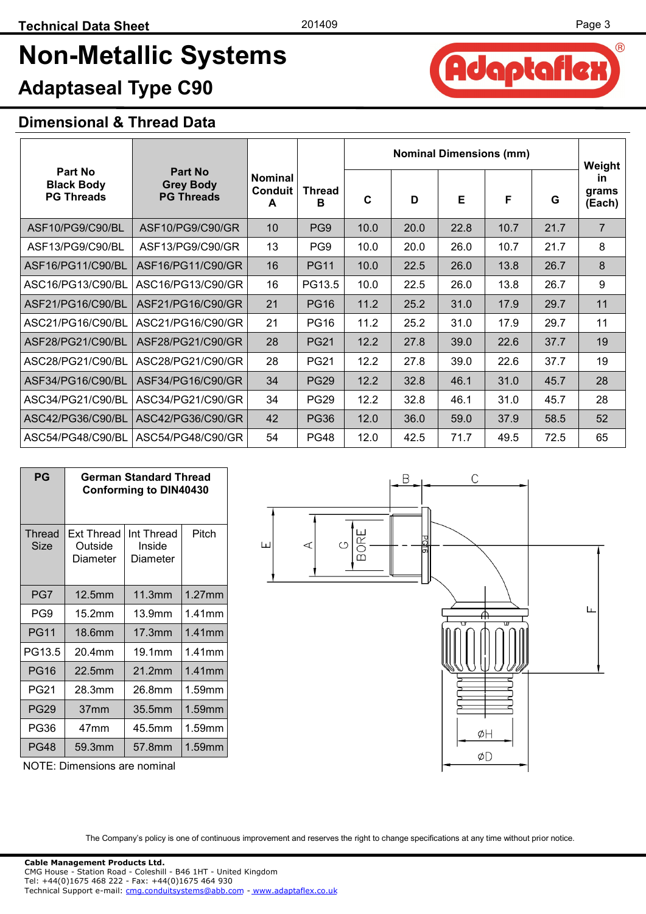Adaptaflex

 $(R)$ 

## **Non-Metallic Systems**

### **Adaptaseal Type C90**

#### **Dimensional & Thread Data**

|                                                   |                                                  |                                       |                    | <b>Nominal Dimensions (mm)</b> |      |      |      | Weight |                              |
|---------------------------------------------------|--------------------------------------------------|---------------------------------------|--------------------|--------------------------------|------|------|------|--------|------------------------------|
| Part No<br><b>Black Body</b><br><b>PG Threads</b> | Part No<br><b>Grey Body</b><br><b>PG Threads</b> | <b>Nominal</b><br><b>Conduit</b><br>A | <b>Thread</b><br>в | C                              | D    | Е    | F    | G      | <b>in</b><br>grams<br>(Each) |
| ASF10/PG9/C90/BL                                  | ASF10/PG9/C90/GR                                 | 10                                    | PG9                | 10.0                           | 20.0 | 22.8 | 10.7 | 21.7   | $\overline{7}$               |
| ASF13/PG9/C90/BL                                  | ASF13/PG9/C90/GR                                 | 13                                    | PG9                | 10.0                           | 20.0 | 26.0 | 10.7 | 21.7   | 8                            |
| ASF16/PG11/C90/BL                                 | ASF16/PG11/C90/GR                                | 16                                    | <b>PG11</b>        | 10.0                           | 22.5 | 26.0 | 13.8 | 26.7   | 8                            |
| ASC16/PG13/C90/BL                                 | ASC16/PG13/C90/GR                                | 16                                    | PG13.5             | 10.0                           | 22.5 | 26.0 | 13.8 | 26.7   | 9                            |
| ASF21/PG16/C90/BL                                 | ASF21/PG16/C90/GR                                | 21                                    | <b>PG16</b>        | 11.2                           | 25.2 | 31.0 | 17.9 | 29.7   | 11                           |
| ASC21/PG16/C90/BL                                 | ASC21/PG16/C90/GR                                | 21                                    | <b>PG16</b>        | 11.2                           | 25.2 | 31.0 | 17.9 | 29.7   | 11                           |
| ASF28/PG21/C90/BL                                 | ASF28/PG21/C90/GR                                | 28                                    | <b>PG21</b>        | 12.2                           | 27.8 | 39.0 | 22.6 | 37.7   | 19                           |
| ASC28/PG21/C90/BL                                 | ASC28/PG21/C90/GR                                | 28                                    | <b>PG21</b>        | 12.2                           | 27.8 | 39.0 | 22.6 | 37.7   | 19                           |
| ASF34/PG16/C90/BL                                 | ASF34/PG16/C90/GR                                | 34                                    | <b>PG29</b>        | 12.2                           | 32.8 | 46.1 | 31.0 | 45.7   | 28                           |
| ASC34/PG21/C90/BL                                 | ASC34/PG21/C90/GR                                | 34                                    | <b>PG29</b>        | 12.2                           | 32.8 | 46.1 | 31.0 | 45.7   | 28                           |
| ASC42/PG36/C90/BL                                 | ASC42/PG36/C90/GR                                | 42                                    | <b>PG36</b>        | 12.0                           | 36.0 | 59.0 | 37.9 | 58.5   | 52                           |
| ASC54/PG48/C90/BL                                 | ASC54/PG48/C90/GR                                | 54                                    | <b>PG48</b>        | 12.0                           | 42.5 | 71.7 | 49.5 | 72.5   | 65                           |

| PG             | German Standard Thread<br><b>Conforming to DIN40430</b> |                                  |           |  |  |  |  |
|----------------|---------------------------------------------------------|----------------------------------|-----------|--|--|--|--|
| Thread<br>Size | Ext Thread<br>Outside<br>Diameter                       | Int Thread<br>Inside<br>Diameter | Pitch     |  |  |  |  |
| PG7            | 12.5 <sub>mm</sub>                                      | 11.3mm                           | $1.27$ mm |  |  |  |  |
| PG9            | 15.2mm                                                  | 13.9mm                           | $1.41$ mm |  |  |  |  |
| <b>PG11</b>    | 18.6mm                                                  | 17.3mm                           | $1.41$ mm |  |  |  |  |
| PG13.5         | 20.4mm                                                  | 19.1mm                           | 1.41mm    |  |  |  |  |
| <b>PG16</b>    | 22.5mm                                                  | 21.2mm                           | $1.41$ mm |  |  |  |  |
| PG21           | 28.3mm                                                  | 26.8mm                           | 1.59mm    |  |  |  |  |
| <b>PG29</b>    | 37 <sub>mm</sub>                                        | 35.5mm                           | 1.59mm    |  |  |  |  |
| PG36           | 47mm                                                    | 45.5mm                           | 1.59mm    |  |  |  |  |
| PG48           | 59.3mm                                                  | 57.8mm                           | 1.59mm    |  |  |  |  |

NOTE: Dimensions are nominal

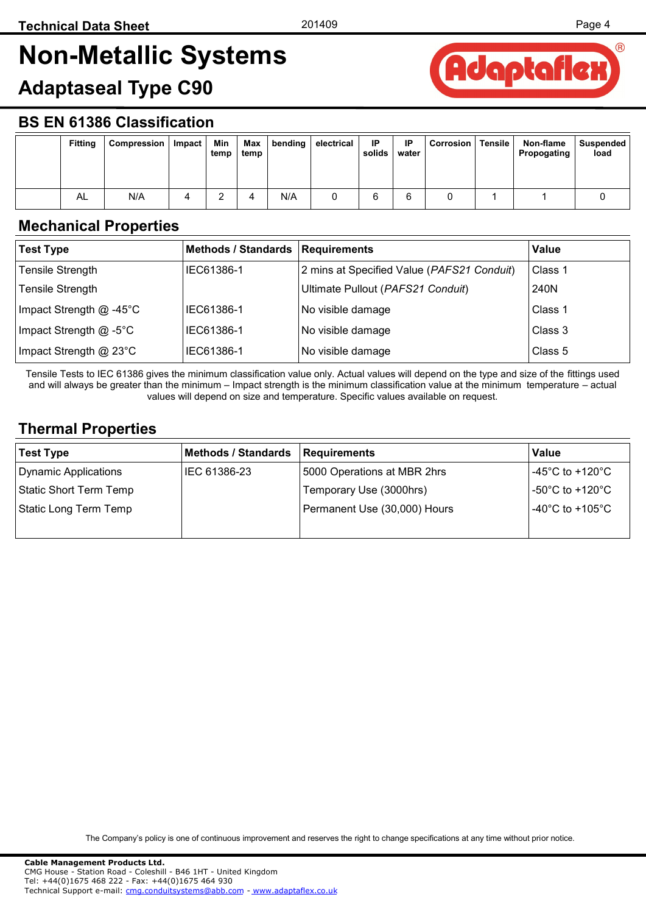## <span id="page-3-0"></span>**Non-Metallic Systems**

### **Adaptaseal Type C90**



#### **BS EN 61386 Classification**

| <b>Fitting</b> | Compression | Impact | Min<br>temp | Max<br>temp | bending | electrical | IP<br>solids | IP<br>water | <b>Corrosion</b> | <b>Tensile</b> | Non-flame<br>Propogating | Suspended<br>load |
|----------------|-------------|--------|-------------|-------------|---------|------------|--------------|-------------|------------------|----------------|--------------------------|-------------------|
| AL             | N/A         |        |             |             | N/A     |            |              |             |                  |                |                          |                   |

#### **Mechanical Properties**

| <b>Test Type</b>          | Methods / Standards   Requirements |                                            | Value   |
|---------------------------|------------------------------------|--------------------------------------------|---------|
| <b>Tensile Strength</b>   | IEC61386-1                         | 2 mins at Specified Value (PAFS21 Conduit) | Class 1 |
| <b>Tensile Strength</b>   |                                    | Ultimate Pullout (PAFS21 Conduit)          | 240N    |
| Impact Strength $@$ -45°C | IEC61386-1                         | No visible damage                          | Class 1 |
| Impact Strength @ -5°C    | IEC61386-1                         | No visible damage                          | Class 3 |
| Impact Strength @ 23°C    | IEC61386-1                         | No visible damage                          | Class 5 |

Tensile Tests to IEC 61386 gives the minimum classification value only. Actual values will depend on the type and size of the fittings used and will always be greater than the minimum – Impact strength is the minimum classification value at the minimum temperature – actual values will depend on size and temperature. Specific values available on request.

#### **Thermal Properties**

| <b>Test Type</b>       | <b>Methods / Standards</b> | Requirements                 | Value                                 |
|------------------------|----------------------------|------------------------------|---------------------------------------|
| Dynamic Applications   | IEC 61386-23               | 5000 Operations at MBR 2hrs  | -45°C to +120°C                       |
| Static Short Term Temp |                            | Temporary Use (3000hrs)      | -50 $^{\circ}$ C to +120 $^{\circ}$ C |
| Static Long Term Temp  |                            | Permanent Use (30,000) Hours | -40 $^{\circ}$ C to +105 $^{\circ}$ C |
|                        |                            |                              |                                       |